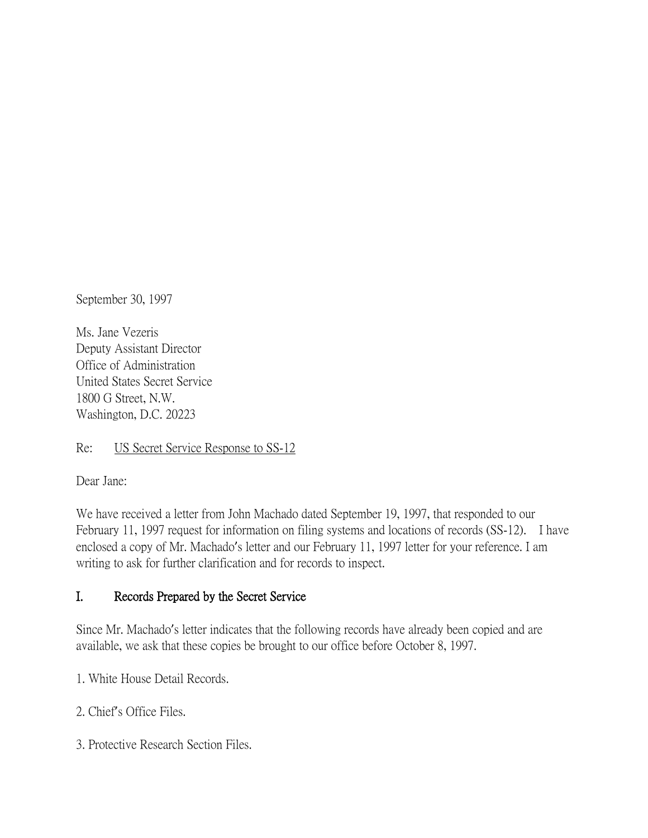September 30, 1997

Ms. Jane Vezeris Deputy Assistant Director Office of Administration United States Secret Service 1800 G Street, N.W. Washington, D.C. 20223

Re: US Secret Service Response to SS-12

Dear Jane:

We have received a letter from John Machado dated September 19, 1997, that responded to our February 11, 1997 request for information on filing systems and locations of records (SS-12). I have enclosed a copy of Mr. Machado's letter and our February 11, 1997 letter for your reference. I am writing to ask for further clarification and for records to inspect.

## I. Records Prepared by the Secret Service

Since Mr. Machado's letter indicates that the following records have already been copied and are available, we ask that these copies be brought to our office before October 8, 1997.

1. White House Detail Records.

2. Chief's Office Files.

3. Protective Research Section Files.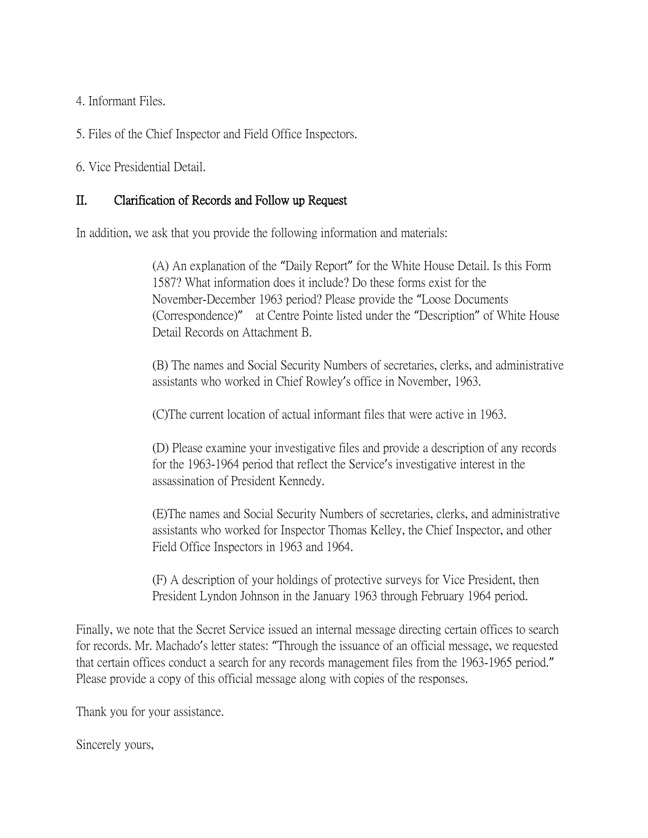4. Informant Files.

5. Files of the Chief Inspector and Field Office Inspectors.

6. Vice Presidential Detail.

## II. Clarification of Records and Follow up Request

In addition, we ask that you provide the following information and materials:

(A) An explanation of the "Daily Report" for the White House Detail. Is this Form 1587? What information does it include? Do these forms exist for the November-December 1963 period? Please provide the "Loose Documents (Correspondence)" at Centre Pointe listed under the "Description" of White House Detail Records on Attachment B.

(B) The names and Social Security Numbers of secretaries, clerks, and administrative assistants who worked in Chief Rowley's office in November, 1963.

(C)The current location of actual informant files that were active in 1963.

(D) Please examine your investigative files and provide a description of any records for the 1963-1964 period that reflect the Service's investigative interest in the assassination of President Kennedy.

(E)The names and Social Security Numbers of secretaries, clerks, and administrative assistants who worked for Inspector Thomas Kelley, the Chief Inspector, and other Field Office Inspectors in 1963 and 1964.

(F) A description of your holdings of protective surveys for Vice President, then President Lyndon Johnson in the January 1963 through February 1964 period.

Finally, we note that the Secret Service issued an internal message directing certain offices to search for records. Mr. Machado's letter states: "Through the issuance of an official message, we requested that certain offices conduct a search for any records management files from the 1963-1965 period." Please provide a copy of this official message along with copies of the responses.

Thank you for your assistance.

Sincerely yours,